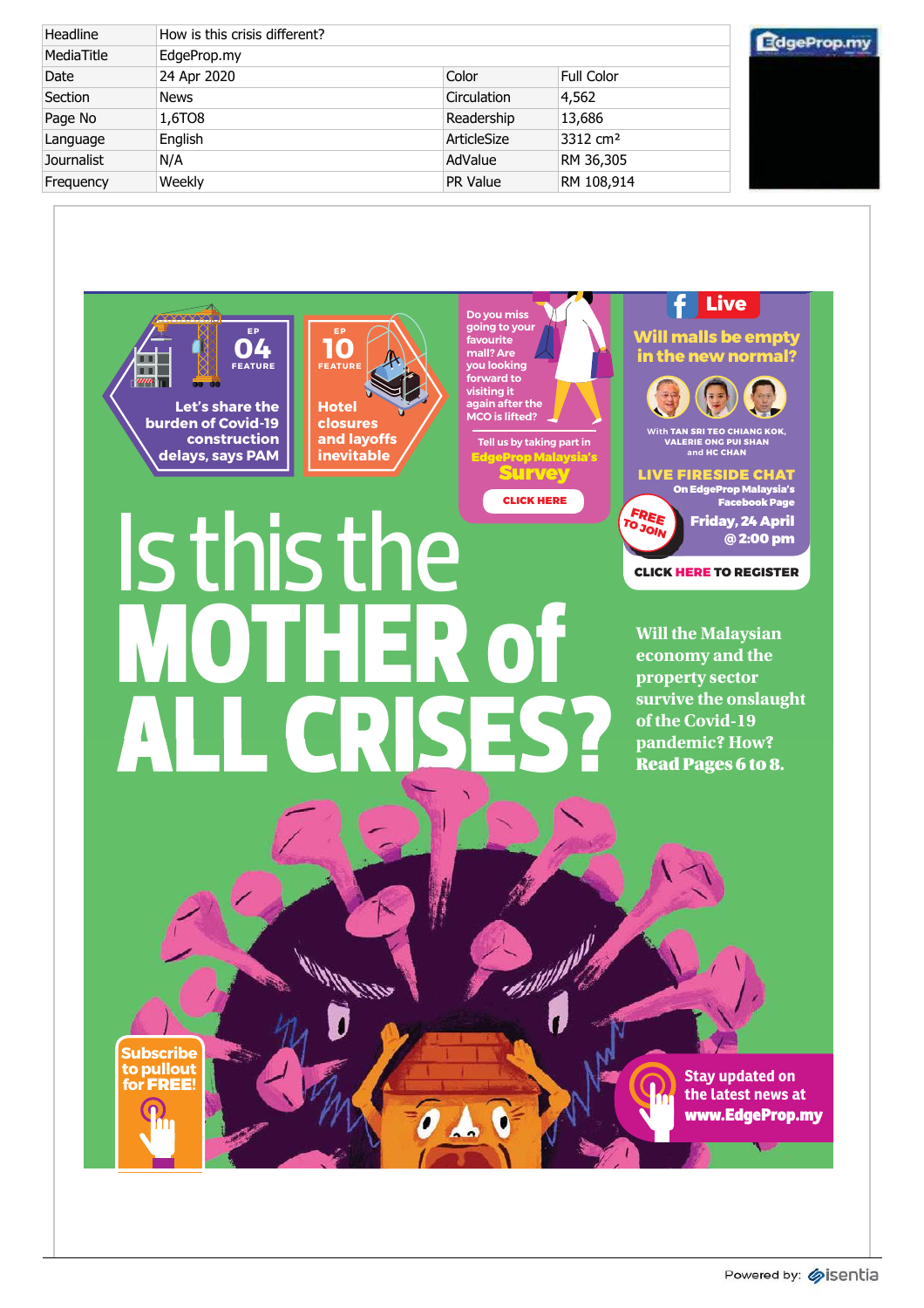| Headline   | How is this crisis different? |                 |                      | eProp.n |
|------------|-------------------------------|-----------------|----------------------|---------|
| MediaTitle | EdgeProp.my                   |                 |                      |         |
| Date       | 24 Apr 2020                   | Color           | Full Color           |         |
| Section    | <b>News</b>                   | Circulation     | 4,562                |         |
| Page No    | 1,6TO8                        | Readership      | 13,686               |         |
| Language   | English                       | ArticleSize     | 3312 cm <sup>2</sup> |         |
| Journalist | N/A                           | AdValue         | RM 36,305            |         |
| Frequency  | Weekly                        | <b>PR Value</b> | RM 108,914           |         |

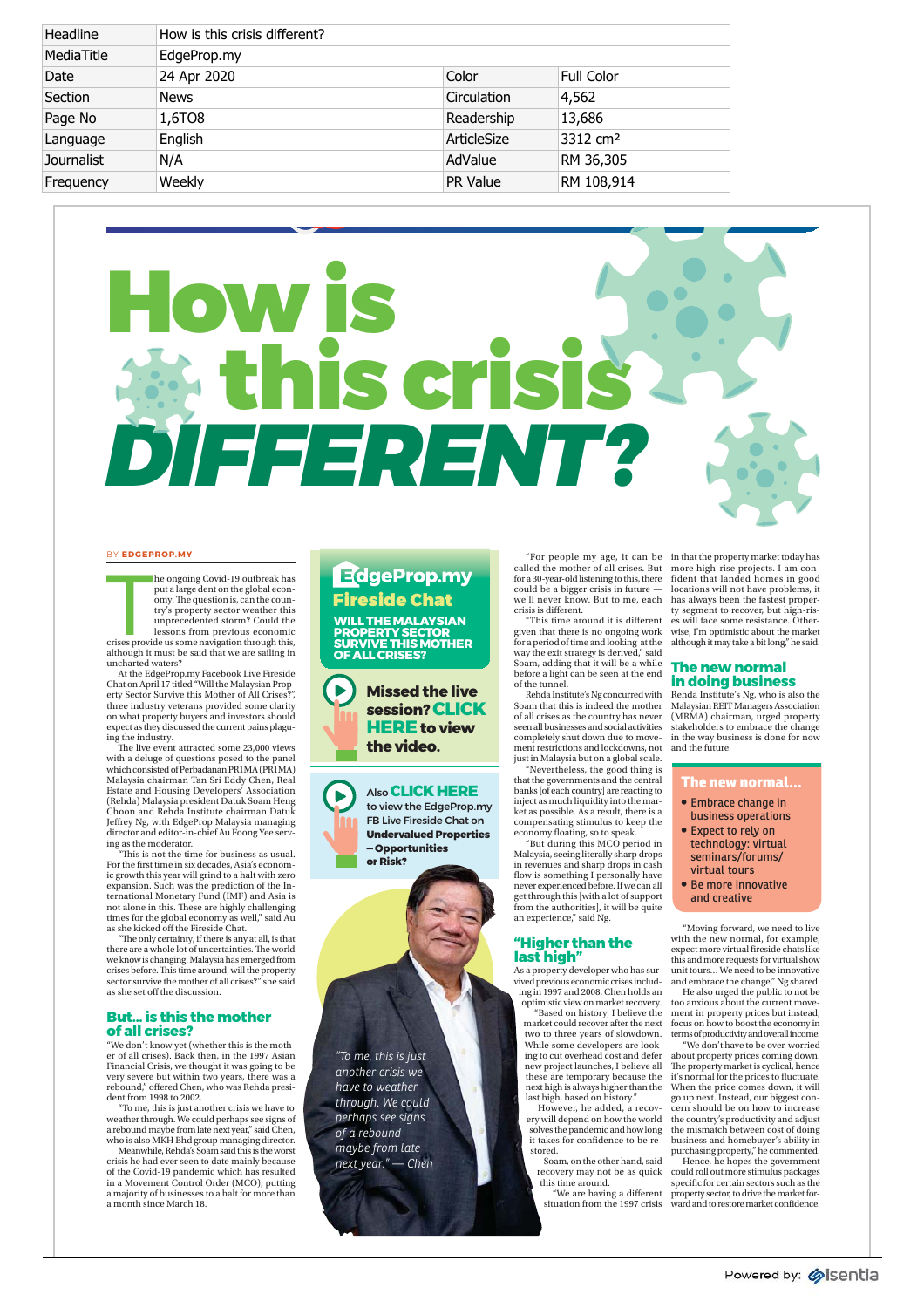| Headline   | How is this crisis different? |                 |                      |
|------------|-------------------------------|-----------------|----------------------|
| MediaTitle | EdgeProp.my                   |                 |                      |
| Date       | 24 Apr 2020                   | Color           | Full Color           |
| Section    | <b>News</b>                   | Circulation     | 4,562                |
| Page No    | 1,6TO8                        | Readership      | 13,686               |
| Language   | English                       | ArticleSize     | 3312 cm <sup>2</sup> |
| Journalist | N/A                           | AdValue         | RM 36,305            |
| Frequency  | Weekly                        | <b>PR Value</b> | RM 108,914           |

# How is his cris *DIFFERENT?*

#### BY **EDGEPROP.MY**

The contract of the contract of the contract of the contract of the contract of the contract of the contract of the contract of the contract of the contract of the contract of the contract of the contract of the contract o he ongoing Covid-19 outbreak has put a large dent on the global economy. The question is, can the coun-try's property sector weather this unprecedented storm? Could the lessons from previous economic crises provide us some navigation through this, although it must be said that we are sailing in uncharted waters?

At the EdgeProp.my Facebook Live Fireside<br>Chat on April 17 titled "Will the Malaysian Prop-<br>erty Sector Survive this Mother of All Crises?",<br>three industry veterans provided some clarity on what property buyers and investors should expect as they discussed the current pains plaguing the industry.

The live event attracted some 23,000 views with a deluge of questions posed to the panel which consisted of Perbadanan PR1MA (PR1MA) Malaysia chairman Tan Sri Eddy Chen, Real Estate and Housing Developers' Association (Rehda) Malaysia president Datuk Soam Heng Choon and Rehda Institute chairman Datuk Jeffrey Ng, with EdgeProp Malaysia managing director and editor-in-chief Au Foong Yee serving as the moderator.

"This is not the time for business as usual. For the first time in six decades, Asia's economic growth this year will grind to a halt with zero expansion. Such was the prediction of the International Monetary Fund (IMF) and Asia is not alone in this. These are highly challenging times for the global economy as well," said Au as she kicked off the Fireside Chat.

"The only certainty, if there is any at all, is that there are a whole lot of uncertainties. The world we know is changing. Malaysia has emerged from crises before. This time around, will the property sector survive the mother of all crises?" she said as she set off the discussion.

#### **But… is this the mother of all crises?**

"We don't know yet (whether this is the moth-er of all crises). Back then, in the 1997 Asian Financial Crisis, we thought it was going to be very severe but within two years, there was a rebound," offered Chen, who was Rehda president from 1998 to 2002.

"To me, this is just another crisis we have to weather through. We could perhaps see signs of a rebound maybe from late next year," said Chen, who is also MKH Bhd group managing director. Meanwhile, Rehda's Soam said this is the worst

crisis he had ever seen to date mainly because of the Covid-19 pandemic which has resulted in a Movement Control Order (MCO), putting a majority of businesses to a halt for more than a month since March 18.

## EdgeProp.my Fireside Chat

**WILL THE MALAYSIAN PROPERTY SECTOR SURVIVE THIS MOTHER OF ALL CRISES?**



 $\blacktriangleright$ 

Also **CLICK HERE**  to view the EdgeProp.my FB Live Fireside Chat on **Undervalued Properties — Opportunities or Risk?** 

*"To me, this is just another crisis we have to weather through. We could perhaps see signs of a rebound maybe from late next year." — Chen* "For people my age, it can be called the mother of all crises. But for a 30-year-old listening to this, there could be a bigger crisis in future we'll never know. But to me, each crisis is different.

"This time around it is different given that there is no ongoing work for a period of time and looking at the way the exit strategy is derived," said Soam, adding that it will be a while before a light can be seen at the end of the tunnel.

Rehda Institute's Ng concurred with Soam that this is indeed the mother of all crises as the country has never seen all businesses and social activities completely shut down due to movement restrictions and lockdowns, not just in Malaysia but on a global scale.

"Nevertheless, the good thing is that the governments and the central banks [of each country] are reacting to inject as much liquidity into the mar-ket as possible. As a result, there is a compensating stimulus to keep the economy floating, so to speak. "But during this MCO period in Malaysia, seeing literally sharp drops

in revenues and sharp drops in cash flow is something I personally have never experienced before. If we can all get through this [with a lot of support from the authorities], it will be quite an experience," said Ng.

#### **"Higher than the last high"**

As a property developer who has sur-vived previous economic crises including in 1997 and 2008, Chen holds an optimistic view on market recovery.

"Based on history, I believe the market could recover after the next two to three years of slowdown. While some developers are look-ing to cut overhead cost and defer new project launches, I believe all these are temporary because the next high is always higher than the last high, based on history."

However, he added, a recovery will depend on how the world solves the pandemic and how long it takes for confidence to be restored.

Soam, on the other hand, said recovery may not be as quick this time around.

"We are having a different situation from the 1997 crisis

in that the property market today has more high-rise projects. I am confident that landed homes in good locations will not have problems, it has always been the fastest proper-ty segment to recover, but high-rises will face some resistance. Otherwise, I'm optimistic about the market although it may take a bit long," he said.

#### **The new normal in doing business**

Rehda Institute's Ng, who is also the Malaysian REIT Managers Association (MRMA) chairman, urged property stakeholders to embrace the change in the way business is done for now and the future.

#### **The new normal…**

- **•** Embrace change in business operations
- Expect to rely on technology: virtual seminars/forums/ virtual tours
- · Be more innovative and creative

"Moving forward, we need to live with the new normal, for example, expect more virtual fireside chats like this and more requests for virtual show unit tours… We need to be innovative and embrace the change," Ng shared.

He also urged the public to not be too anxious about the current movement in property prices but instead, focus on how to boost the economy in terms of productivity and overall income.

"We don't have to be over-worried about property prices coming down. The property market is cyclical, hence it's normal for the prices to fluctuate. When the price comes down, it will go up next. Instead, our biggest concern should be on how to increase the country's productivity and adjust the mismatch between cost of doing business and homebuyer's ability in purchasing property," he commented.

Hence, he hopes the government could roll out more stimulus packages specific for certain sectors such as the property sector, to drive the market for-ward and to restore market confidence.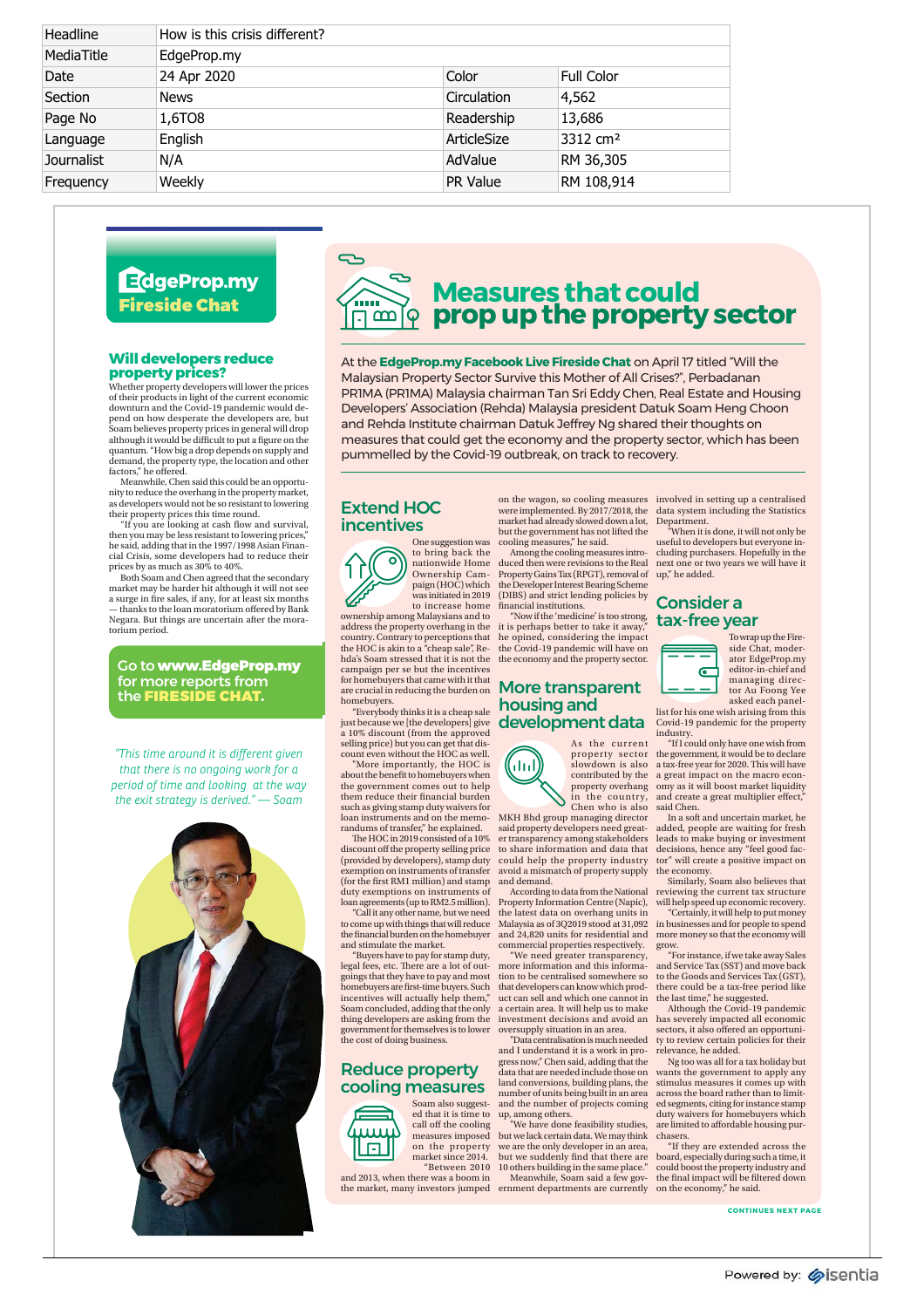| Headline   | How is this crisis different? |                 |                      |
|------------|-------------------------------|-----------------|----------------------|
| MediaTitle | EdgeProp.my                   |                 |                      |
| Date       | 24 Apr 2020                   | Color           | <b>Full Color</b>    |
| Section    | <b>News</b>                   | Circulation     | 4,562                |
| Page No    | 1,6TO8                        | Readership      | 13,686               |
| Language   | English                       | ArticleSize     | 3312 cm <sup>2</sup> |
| Journalist | N/A                           | AdValue         | RM 36,305            |
| Frequency  | Weekly                        | <b>PR Value</b> | RM 108,914           |

## EdgeProp.my Fireside Chat

#### **Will developers reduce property prices?**

Whether property developers will lower the prices of their products in light of the current economic downturn and the Covid-19 pandemic would de-pend on how desperate the developers are, but Soam believes property prices in general will drop although it would be difficult to put a figure on the quantum. "How big a drop depends on supply and demand, the property type, the location and other factors," he offered.

Meanwhile, Chen said this could be an opportunity to reduce the overhang in the property market, as developers would not be so resistant to lowering their property prices this time round.

"If you are looking at cash flow and survival, then you may be less resistant to lowering prices," he said, adding that in the 1997/1998 Asian Financial Crisis, some developers had to reduce their prices by as much as 30% to 40%.

Both Soam and Chen agreed that the secondary market may be harder hit although it will not see a surge in fire sales, if any, for at least six months anks to the loan moratorium offered by Bank Negara. But things are uncertain after the moratorium period.

Go to www.EdgeProp.my for more reports from the FIRESIDE CHAT .

*"This time around it is different given that there is no ongoing work for a period of time and looking at the way the exit strategy is derived." — Soam*





## **Measures that could prop up the property sector**

At the **EdgeProp.my Facebook Live Fireside Chat** on April 17 titled "Will the Malaysian Property Sector Survive this Mother of All Crises?", Perbadanan PR1MA (PR1MA) Malaysia chairman Tan Sri Eddy Chen, Real Estate and Housing Developers' Association (Rehda) Malaysia president Datuk Soam Heng Choon and Rehda Institute chairman Datuk Jeffrey Ng shared their thoughts on measures that could get the economy and the property sector, which has been pummelled by the Covid-19 outbreak, on track to recovery.

#### Extend HOC incentives



One suggestion was to bring back the nationwide Home Ownership Cam-paign (HOC) which was initiated in 2019 to increase home ownership among Malaysians and to

address the property overhang in the country. Contrary to perceptions that the HOC is akin to a "cheap sale", Re-hda's Soam stressed that it is not the campaign per se but the incentives for homebuyers that came with it that are crucial in reducing the burden on homebuyers.

"Everybody thinks it is a cheap sale just because we [the developers] give a 10% discount (from the approved selling price) but you can get that dis-count even without the HOC as well. "More importantly, the HOC is

about the benefit to homebuyers when the government comes out to help them reduce their financial burden such as giving stamp duty waivers for loan instruments and on the memo-

randums of transfer," he explained. The HOC in 2019 consisted of a 10% discount off the property selling price (provided by developers), stamp duty exemption on instruments of transfer (for the first RM1 million) and stamp duty exemptions on instruments of loan agreements (up to RM2.5 million).

"Call it any other name, but we need to come up with things that will reduce the financial burden on the homebuyer and stimulate the market.

"Buyers have to pay for stamp duty, legal fees, etc. There are a lot of outgoings that they have to pay and most homebuyers are first-time buyers. Such incentives will actually help them," Soam concluded, adding that the only thing developers are asking from the government for themselves is to lower the cost of doing business.

#### Reduce property cooling measures

Soam also suggested that it is time to call off the cooling measures imposed on the property market since 2014.



and 2013, when there was a boom in

market had already slowed down a lot, but the government has not lifted the cooling measures," he said.

Among the cooling measures introduced then were revisions to the Real Property Gains Tax (RPGT), removal of up," he added. the Developer Interest Bearing Scheme (DIBS) and strict lending policies by financial institutions.

"Now if the 'medicine' is too strong,  $\mathbf{tax}\text{-free year}$ it is perhaps better to take it away he opined, considering the impact the Covid-19 pandemic will have on the economy and the property sector.

#### More transparent housing and development data



As the current contributed by the property overhang in the country,<br>Chen who is also

MKH Bhd group managing director said property developers need greater transparency among stakeholders to share information and data that could help the property industry avoid a mismatch of property supply and demand.

According to data from the National Property Information Centre (Napic), the latest data on overhang units in Malaysia as of 3Q2019 stood at 31,092 and 24,820 units for residential and commercial properties respectively. "We need greater transparency,

more information and this information to be centralised somewhere so that developers can know which product can sell and which one cannot in a certain area. It will help us to make investment decisions and avoid an oversupply situation in an area.

"Data centralisation is much needed and I understand it is a work in progress now," Chen said, adding that the data that are needed include those on land conversions, building plans, the number of units being built in an area and the number of projects coming up, among others. "We have done feasibility studies,

"Between 2010 10 others building in the same place." Meanwhile, Soam said a few govbut we lack certain data. We may think we are the only developer in an area, but we suddenly find that there are

the market, many investors jumped ernment departments are currently on the economy," he said.

on the wagon, so cooling measures involved in setting up a centralised<br>were implemented. By 2017/2018, the data system including the Statistics Department. "When it is done, it will not only be

useful to developers but everyone including purchasers. Hopefully in the next one or two years we will have it

## Consider a



side Chat, moder-ator EdgeProp.my editor-in-chief and managing director Au Foong Yee asked each panellist for his one wish arising from this

To wrap up the Fire-

Covid-19 pandemic for the property industry. "If I could only have one wish from

property sector the government, it would be to declare<br>slowdown is also a tax-free year for 2020. This will have a great impact on the macro economy as it will boost market liquidity and create a great multiplier effect, said Chen.

In a soft and uncertain market, he added, people are waiting for fresh leads to make buying or investment decisions, hence any "feel good factor" will create a positive impact on

the economy. Similarly, Soam also believes that reviewing the current tax structure will help speed up economic recovery.

"Certainly, it will help to put money in businesses and for people to spend more money so that the economy will grow.

"For instance, if we take away Sales and Service Tax (SST) and move back to the Goods and Services Tax (GST), there could be a tax-free period like the last time," he suggested.

Although the Covid-19 pandemic has severely impacted all economic sectors, it also offered an opportunity to review certain policies for their relevance, he added.

Ng too was all for a tax holiday but wants the government to apply any stimulus measures it comes up with across the board rather than to limited segments, citing for instance stamp waivers for homebuyers which are limited to affordable housing purchasers.

"If they are extended across the board, especially during such a time, it could boost the property industry and the final impact will be filtered down

**CONTINUES NEXT PAGE**